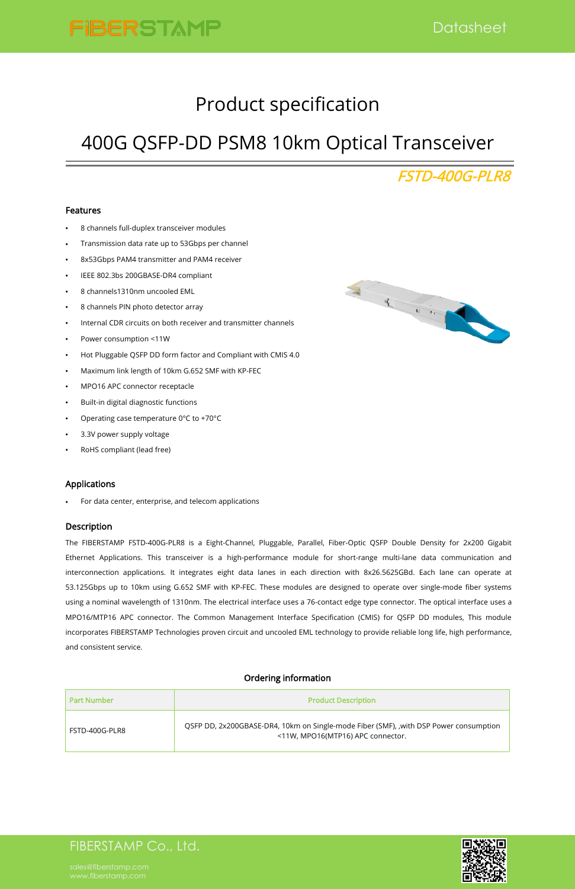## FIBERSTAMP Co., Ltd.



# Product specification

# 400G QSFP-DD PSM8 10km Optical Transceiver

## FSTD-400G-PLR8

#### Features

- 8 channels full-duplex transceiver modules
- Transmission data rate up to 53Gbps per channel
- 8x53Gbps PAM4 transmitter and PAM4 receiver
- IEEE 802.3bs 200GBASE-DR4 compliant
- 8 channels1310nm uncooled EML
- 8 channels PIN photo detector array
- 
- Power consumption <11W
- Hot Pluggable QSFP DD form factor and Compliant with CMIS 4.0
- Maximum link length of 10km G.652 SMF with KP-FEC
- MPO16 APC connector receptacle
- Built-in digital diagnostic functions
- Operating case temperature 0°C to +70°C
- 3.3V power supply voltage
- RoHS compliant (lead free)



### Applications

For data center, enterprise, and telecom applications

#### Description

The FIBERSTAMP FSTD-400G-PLR8 is a Eight-Channel, Pluggable, Parallel, Fiber-Optic QSFP Double Density for 2x200 Gigabit Ethernet Applications. This transceiver is a high-performance module for short-range multi-lane data communication and interconnection applications. It integrates eight data lanes in each direction with 8x26.5625GBd. Each lane can operate at 53.125Gbps up to 10km using G.652 SMF with KP-FEC. These modules are designed to operate over single-mode fiber systems using a nominal wavelength of 1310nm. The electrical interface uses a 76-contact edge type connector. The optical interface uses a MPO16/MTP16 APC connector. The Common Management Interface Specification (CMIS) for QSFP DD modules,This module incorporates FIBERSTAMP Technologies proven circuit and uncooled EML technology to provide reliable long life, high performance, and consistent service.

### Ordering information

| <b>Part Number</b> | <b>Product Description</b>                                                                                                |
|--------------------|---------------------------------------------------------------------------------------------------------------------------|
| FSTD-400G-PLR8     | QSFP DD, 2x200GBASE-DR4, 10km on Single-mode Fiber (SMF), with DSP Power consumption<br><11W, MPO16(MTP16) APC connector. |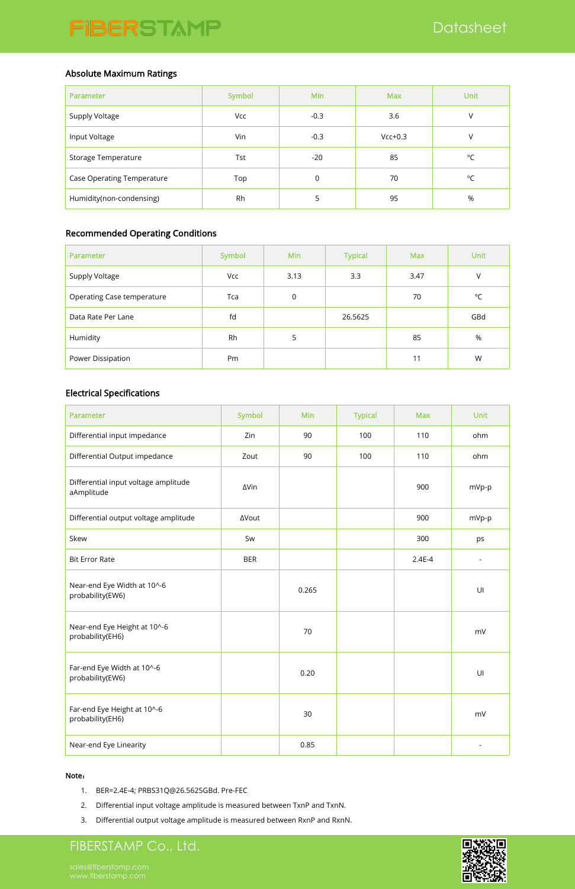### Absolute Maximum Ratings

| Parameter                         | Symbol | Min    | <b>Max</b> | <b>Unit</b>  |
|-----------------------------------|--------|--------|------------|--------------|
| Supply Voltage                    | Vcc    | $-0.3$ | 3.6        | V            |
| Input Voltage                     | Vin    | $-0.3$ | $Vcc+0.3$  | V            |
| Storage Temperature               | Tst    | $-20$  | 85         | $^{\circ}$ C |
| <b>Case Operating Temperature</b> | Top    | 0      | 70         | $^{\circ}$ C |
| Humidity(non-condensing)          | Rh     | 5      | 95         | $\%$         |

## Recommended Operating Conditions

| Parameter                  | Symbol | <b>Min</b>  | <b>Typical</b> | <b>Max</b> | <b>Unit</b>  |
|----------------------------|--------|-------------|----------------|------------|--------------|
| Supply Voltage             | Vcc    | 3.13        | 3.3            | 3.47       | V            |
| Operating Case temperature | Tca    | $\mathbf 0$ |                | 70         | $^{\circ}$ C |
| Data Rate Per Lane         | fd     |             | 26.5625        |            | GBd          |
| Humidity                   | Rh     | 5           |                | 85         | %            |
| Power Dissipation          | Pm     |             |                | 11         | W            |

### Electrical Specifications

| Parameter                                          | Symbol       | Min   | <b>Typical</b> | <b>Max</b> | <b>Unit</b>              |
|----------------------------------------------------|--------------|-------|----------------|------------|--------------------------|
| Differential input impedance                       | Zin          | 90    | 100            | 110        | ohm                      |
| Differential Output impedance                      | Zout         | 90    | 100            | 110        | ohm                      |
| Differential input voltage amplitude<br>aAmplitude | ∆Vin         |       |                | 900        | mVp-p                    |
| Differential output voltage amplitude              | <b>AVout</b> |       |                | 900        | mVp-p                    |
| Skew                                               | Sw           |       |                | 300        | ps                       |
| <b>Bit Error Rate</b>                              | <b>BER</b>   |       |                | $2.4E-4$   | $\overline{\phantom{a}}$ |
| Near-end Eye Width at 10^-6<br>probability(EW6)    |              | 0.265 |                |            | U                        |
| Near-end Eye Height at 10^-6<br>probability(EH6)   |              | 70    |                |            | mV                       |

| Far-end Eye Width at 10^-6<br>probability(EW6)  | 0.20 |  | U  |  |
|-------------------------------------------------|------|--|----|--|
| Far-end Eye Height at 10^-6<br>probability(EH6) | 30   |  | mV |  |
| Near-end Eye Linearity                          | 0.85 |  |    |  |

#### Note:

- 1. BER=2.4E-4; PRBS31Q@26.5625GBd. Pre-FEC
- 2. Differential input voltage amplitude is measured between TxnP and TxnN.
- 3. Differential output voltage amplitude is measured between RxnP and RxnN.

## FIBERSTAMP Co., Ltd.

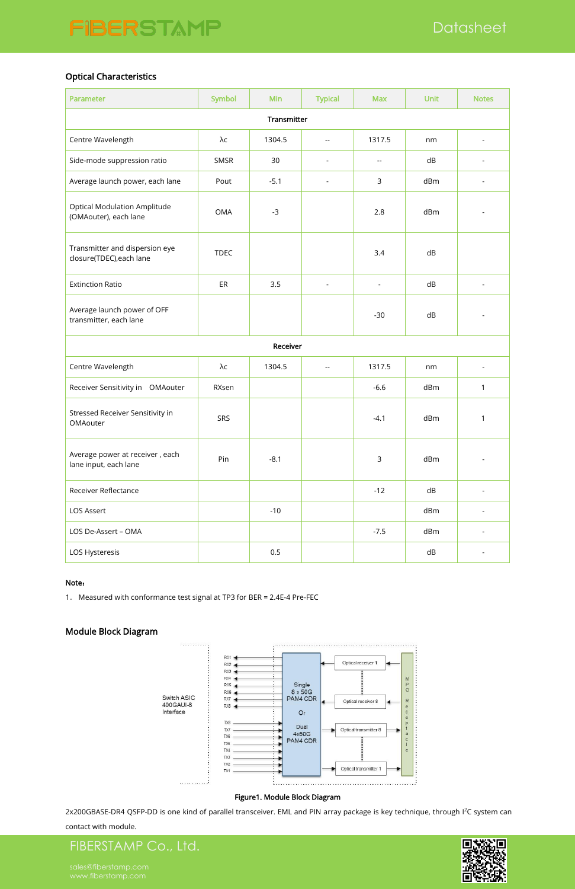## FIBERSTAMP Co., Ltd.



### Optical Characteristics

| Parameter                                                    | <b>Symbol</b> | Min      | <b>Typical</b>                                | <b>Max</b>                  | <b>Unit</b> | <b>Notes</b>             |
|--------------------------------------------------------------|---------------|----------|-----------------------------------------------|-----------------------------|-------------|--------------------------|
| Transmitter                                                  |               |          |                                               |                             |             |                          |
| Centre Wavelength                                            | $\lambda c$   | 1304.5   | $\overline{\phantom{a}}$                      | 1317.5                      | nm          | $\overline{\phantom{a}}$ |
| Side-mode suppression ratio                                  | SMSR          | 30       | $\overline{\phantom{a}}$                      | $\mathcal{L}_{\mathcal{F}}$ | dB          |                          |
| Average launch power, each lane                              | Pout          | $-5.1$   | $\overline{\phantom{a}}$                      | 3                           | dBm         |                          |
| <b>Optical Modulation Amplitude</b><br>(OMAouter), each lane | <b>OMA</b>    | $-3$     |                                               | 2.8                         | dBm         |                          |
| Transmitter and dispersion eye<br>closure(TDEC), each lane   | <b>TDEC</b>   |          |                                               | 3.4                         | ${\sf dB}$  |                          |
| <b>Extinction Ratio</b>                                      | ER            | 3.5      | $\overline{\phantom{a}}$                      | $\overline{\phantom{a}}$    | dB          |                          |
| Average launch power of OFF<br>transmitter, each lane        |               |          |                                               | $-30$                       | dB          |                          |
|                                                              |               | Receiver |                                               |                             |             |                          |
| Centre Wavelength                                            | $\lambda c$   | 1304.5   | $\mathord{\hspace{1pt}\text{--}\hspace{1pt}}$ | 1317.5                      | nm          | $\overline{\phantom{a}}$ |
| Receiver Sensitivity in OMAouter                             | RXsen         |          |                                               | $-6.6$                      | dBm         | 1                        |
| Stressed Receiver Sensitivity in<br>OMAouter                 | SRS           |          |                                               | $-4.1$                      | dBm         | 1                        |
| Average power at receiver, each<br>lane input, each lane     | Pin           | $-8.1$   |                                               | 3                           | dBm         |                          |
| Receiver Reflectance                                         |               |          |                                               | $-12$                       | dB          |                          |
| LOS Assert                                                   |               | $-10$    |                                               |                             | dBm         |                          |
| LOS De-Assert - OMA                                          |               |          |                                               | $-7.5$                      | dBm         |                          |
| LOS Hysteresis                                               |               | 0.5      |                                               |                             | dB          |                          |

#### Note:

1. Measured with conformance test signal at TP3 for BER = 2.4E-4 Pre-FEC

### Module Block Diagram



#### Figure1. Module Block Diagram

2x200GBASE-DR4 QSFP-DD is one kind of parallel transceiver. EML and PIN array package is key technique, through I<sup>2</sup>C system can

contact with module.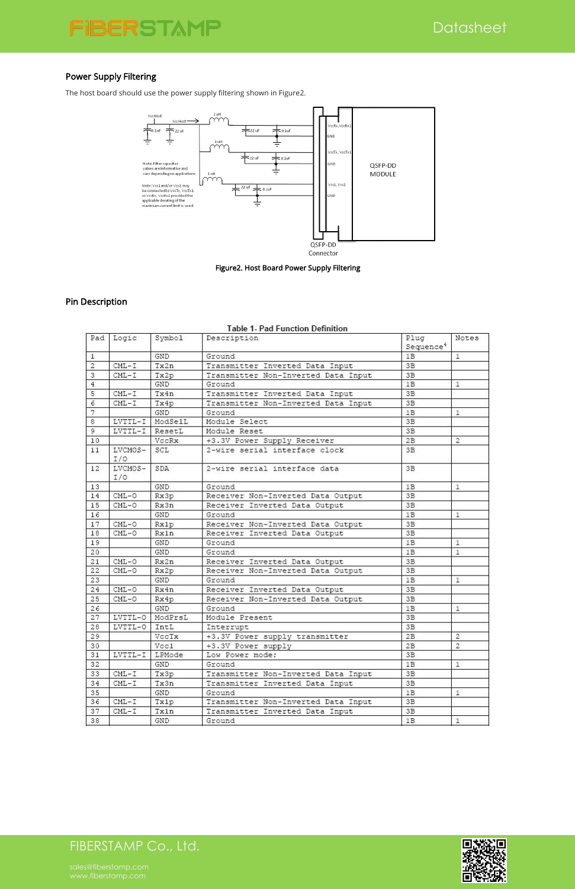# FIBERSTAMP Co., Ltd.

 $21$ 

 $T$  there is

 $\tau$ 

 $TDM = A$ 

T 2

D.



 $2D$ 

### Power Supply Filtering

The host board should use the power supply filtering shown in Figure2.



Figure2. Host Board Power Supply Filtering

|                | Pad Logic       | Symbol     | Description                         | Plug<br>Sequence <sup>4</sup> | Notes          |
|----------------|-----------------|------------|-------------------------------------|-------------------------------|----------------|
| $\mathbf{1}$   |                 | GND.       | Ground                              | 1B                            | $\mathbf{1}$   |
| $\overline{2}$ | $CML-T$         | Tx2n       | Transmitter Inverted Data Input     | 3B                            |                |
| 3              | $CML-T$         | Tx2p       | Transmitter Non-Inverted Data Input | 3B                            |                |
| $\overline{4}$ |                 | GND        | Ground                              | 1B                            | 1              |
| 5              | $CML-T$         | Tx4n       | Transmitter Inverted Data Input     | 3B                            |                |
| $\epsilon$     | $CML-T$         | Tx4p       | Transmitter Non-Inverted Data Input | 3B                            |                |
| 7              |                 | GND.       | Ground                              | 1B                            | $\mathbf{1}$   |
| 8              | LVTTL-I         | ModSelL    | Module Select                       | 3B                            |                |
| 9              | LVTTL-I         | ResetL     | Module Reset                        | 3B                            |                |
| 10             |                 | VccRx      | +3.3V Power Supply Receiver         | 2B                            | $\overline{2}$ |
| 11             | LVCMOS-<br>I/O  | SCL        | 2-wire serial interface clock       | 3B                            |                |
| 12             | LVCMOS-<br>I/O  | SDA        | 2-wire serial interface data        | 3B                            |                |
| 13             |                 | <b>GND</b> | Ground                              | 1B                            | $\mathbf{1}$   |
| 14             | $CML-O$         | Rx3p       | Receiver Non-Inverted Data Output   | 3B                            |                |
| 15             | $CML-0$         | Rx3n       | Receiver Inverted Data Output       | 3B                            |                |
| 16             |                 | GND.       | Ground                              | 1 <sub>B</sub>                | $\mathbf{1}$   |
| 17             | $CML-O$         | Rx1p       | Receiver Non-Inverted Data Output   | 3B                            |                |
| 18             | $CML-O$         | Rx1n       | Receiver Inverted Data Output       | 3B                            |                |
| 19             |                 | GND        | Ground                              | 1B                            | 1              |
| 20             |                 | GND        | Ground                              | 1B                            | 1              |
| 21             | $CML-O$         | Rx2n       | Receiver Inverted Data Output       | 3B                            |                |
| 22             | $CML-O$         | Rx2p       | Receiver Non-Inverted Data Output   | 3 <sub>B</sub>                |                |
| 23             |                 | GND        | Ground.                             | 1 <sub>B</sub>                | $\pm$          |
| 24             | $CML-O$         | Rx4n       | Receiver Inverted Data Output       | 3B                            |                |
| 25             | $CML-O$         | Rx4p       | Receiver Non-Inverted Data Output   | 3B                            |                |
| 26             |                 | GND        | Ground                              | 1B                            | $\mathbf{1}$   |
| 27             | LVTTL-0 ModPrsL |            | Module Present                      | 3 <sub>B</sub>                |                |
| 28             | LVTTL-0         | IntL       | Interrupt                           | 3B                            |                |
| 29             |                 | VccTx      | +3.3V Power supply transmitter      | 2B                            | $\overline{2}$ |
| 30             |                 | Vcc1       | +3.3V Power supply                  | 2B                            | $\overline{2}$ |

#### Table 1, Pad Eunction Definition

| эı | LVIIL-I LEMOGE |      | TOM LOMET MONE!                     | - 2 D |  |
|----|----------------|------|-------------------------------------|-------|--|
| 32 |                | GND  | Ground                              | 1B    |  |
| 33 | $CML-T$        | Tx3p | Transmitter Non-Inverted Data Input | 3B    |  |
| 34 | $CML-T$        | Tx3n | Transmitter Inverted Data Input     | 3B    |  |
| 35 |                | GND  | Ground                              | 1B    |  |
| 36 | $CML-T$        | Tx1p | Transmitter Non-Inverted Data Input | 3B    |  |
| 37 | $CML-T$        | Tx1n | Transmitter Inverted Data Input     | 3B    |  |
| 38 |                | GND  | Ground                              | 1B    |  |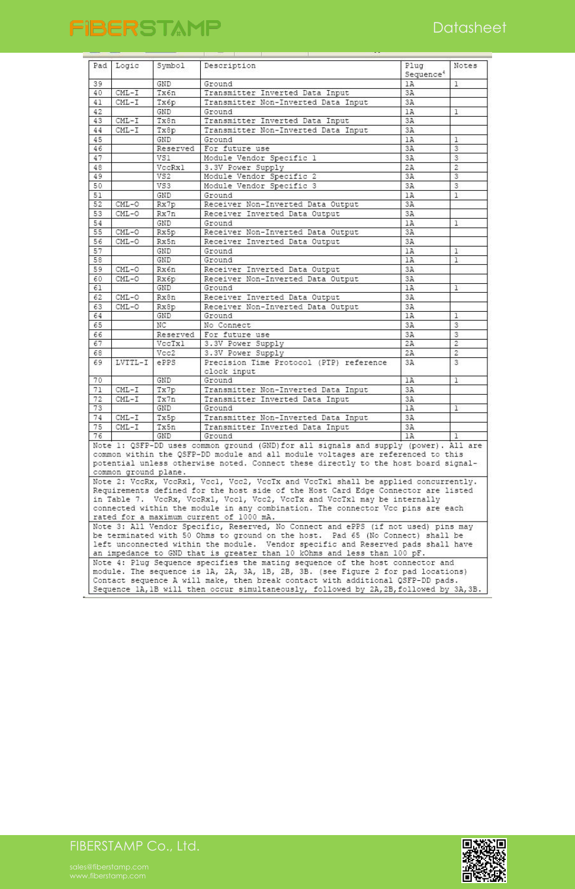

| Pad | Logic                                                                            | Symbol     | Description                                                                                                                                                                                                                                                  | Plug<br>Sequence <sup>4</sup> | Notes          |  |
|-----|----------------------------------------------------------------------------------|------------|--------------------------------------------------------------------------------------------------------------------------------------------------------------------------------------------------------------------------------------------------------------|-------------------------------|----------------|--|
| 39  |                                                                                  | GND        | Ground                                                                                                                                                                                                                                                       | 1A                            | 1              |  |
| 40  | $CML-T$                                                                          | Tx6n       | Transmitter Inverted Data Input                                                                                                                                                                                                                              | 3A                            |                |  |
| 41  | $CML-T$                                                                          | Тхбр       | Transmitter Non-Inverted Data Input                                                                                                                                                                                                                          | 3A                            |                |  |
| 42  |                                                                                  | GND        | Ground                                                                                                                                                                                                                                                       | 1A                            | 1              |  |
| 43  | $CML-I$                                                                          | Tx8n       | Transmitter Inverted Data Input                                                                                                                                                                                                                              | 3A                            |                |  |
| 44  | $CML - I$                                                                        | Tx8p       | Transmitter Non-Inverted Data Input                                                                                                                                                                                                                          | 3A                            |                |  |
| 45  |                                                                                  | GND        | Ground                                                                                                                                                                                                                                                       | 1A                            | 1              |  |
| 46  |                                                                                  | Reserved   | For future use                                                                                                                                                                                                                                               | 3A                            | 3              |  |
| 47  |                                                                                  | VS1        | Module Vendor Specific 1                                                                                                                                                                                                                                     | 3A                            | 3              |  |
| 48  |                                                                                  | VccRx1     | 3.3V Power Supply                                                                                                                                                                                                                                            | 2A                            | $\overline{c}$ |  |
| 49  |                                                                                  | VS2        | Module Vendor Specific 2                                                                                                                                                                                                                                     | 3A                            | 3              |  |
| 50  |                                                                                  | VS3        | Module Vendor Specific 3                                                                                                                                                                                                                                     | 3A                            | 3              |  |
| 51  |                                                                                  | GND        | Ground                                                                                                                                                                                                                                                       | 1A                            | $\mathbf{1}$   |  |
| 52  | $CML-O$                                                                          | Rx7p       | Receiver Non-Inverted Data Output                                                                                                                                                                                                                            | 3A                            |                |  |
| 53  | $CML-0$                                                                          | Rx7n       | Receiver Inverted Data Output                                                                                                                                                                                                                                | 3A                            |                |  |
| 54  |                                                                                  | GND        | Ground                                                                                                                                                                                                                                                       | 1A                            | 1              |  |
| 55  | $CML-O$                                                                          | Rx5p       | Receiver Non-Inverted Data Output                                                                                                                                                                                                                            | 3A                            |                |  |
| 56  | CML-0                                                                            | Rx5n       | Receiver Inverted Data Output                                                                                                                                                                                                                                | 3A                            |                |  |
| 57  |                                                                                  | GND        | Ground                                                                                                                                                                                                                                                       | 1A                            | 1              |  |
| 58  |                                                                                  | GND        | Ground                                                                                                                                                                                                                                                       | 1A                            | ı              |  |
| 59  | $CML-0$                                                                          | Rx6n       | Receiver Inverted Data Output                                                                                                                                                                                                                                | 3A                            |                |  |
| 60  | $CML-0$                                                                          | Rx6p       | Receiver Non-Inverted Data Output                                                                                                                                                                                                                            | 3A                            |                |  |
| 61  |                                                                                  | <b>GND</b> | Ground                                                                                                                                                                                                                                                       | 1A                            | 1              |  |
| 62  | $CML-0$                                                                          | Rx8n       | Receiver Inverted Data Output                                                                                                                                                                                                                                | 3A                            |                |  |
| 63  | $CML-O$                                                                          | Rx8p       | Receiver Non-Inverted Data Output                                                                                                                                                                                                                            | 3A                            |                |  |
| 64  |                                                                                  | GND        | Ground                                                                                                                                                                                                                                                       | 1A                            | 1.             |  |
| 65  |                                                                                  | NC.        | No Connect                                                                                                                                                                                                                                                   | 3A                            | 3              |  |
| 66  |                                                                                  | Reserved   | For future use                                                                                                                                                                                                                                               | 3A                            | 3              |  |
| 67  |                                                                                  | VccTx1     | 3.3V Power Supply                                                                                                                                                                                                                                            | 2A                            | $\overline{c}$ |  |
| 68  |                                                                                  | Vcc2       | 3.3V Power Supply                                                                                                                                                                                                                                            | 2A                            | $\overline{c}$ |  |
| 69  | LVTTL-I                                                                          | ePPS       | Precision Time Protocol (PTP) reference                                                                                                                                                                                                                      | 3A                            | 3              |  |
|     |                                                                                  |            | clock input                                                                                                                                                                                                                                                  |                               |                |  |
| 70  |                                                                                  | GND        | Ground                                                                                                                                                                                                                                                       | 1A                            | $\mathbf{1}$   |  |
| 71  | $CML-I$                                                                          | Tx7p       | Transmitter Non-Inverted Data Input                                                                                                                                                                                                                          | 3A                            |                |  |
| 72  | $CML-T$                                                                          | Tx7n       | Transmitter Inverted Data Input                                                                                                                                                                                                                              | 3A                            |                |  |
| 73  |                                                                                  | GND        | Ground                                                                                                                                                                                                                                                       | 1A                            | $\mathbf{1}$   |  |
| 74  | $CML-T$                                                                          | Tx5p       | Transmitter Non-Inverted Data Input                                                                                                                                                                                                                          | 3A                            |                |  |
| 75  | $CML-T$                                                                          | Tx5n       | Transmitter Inverted Data Input                                                                                                                                                                                                                              | 3A                            |                |  |
| 76  |                                                                                  | GND        | Ground                                                                                                                                                                                                                                                       | 1A                            | 1              |  |
|     | common ground plane.                                                             |            | Note 1: QSFP-DD uses common ground (GND)for all signals and supply (power). All are<br>common within the QSFP-DD module and all module voltages are referenced to this<br>potential unless otherwise noted. Connect these directly to the host board signal- |                               |                |  |
|     |                                                                                  |            | Note 2: VccRx, VccRx1, Vcc1, Vcc2, VccTx and VccTx1 shall be applied concurrently.                                                                                                                                                                           |                               |                |  |
|     |                                                                                  |            | Requirements defined for the host side of the Host Card Edge Connector are listed                                                                                                                                                                            |                               |                |  |
|     |                                                                                  |            | in Table 7. VccRx, VccRx1, Vcc1, Vcc2, VccTx and VccTx1 may be internally<br>connected within the module in any combination. The connector Vcc pins are each                                                                                                 |                               |                |  |
|     |                                                                                  |            | rated for a maximum current of 1000 mA.                                                                                                                                                                                                                      |                               |                |  |
|     |                                                                                  |            | Note 3: All Vendor Specific, Reserved, No Connect and ePPS (if not used) pins may                                                                                                                                                                            |                               |                |  |
|     | be terminated with 50 Ohms to ground on the host. Pad 65 (No Connect) shall be   |            |                                                                                                                                                                                                                                                              |                               |                |  |
|     | left unconnected within the module. Vendor specific and Reserved pads shall have |            |                                                                                                                                                                                                                                                              |                               |                |  |
|     | an impedance to GND that is greater than 10 kOhms and less than 100 pF.          |            |                                                                                                                                                                                                                                                              |                               |                |  |
|     |                                                                                  |            | Note 4: Plug Sequence specifies the mating sequence of the host connector and                                                                                                                                                                                |                               |                |  |
|     |                                                                                  |            | module. The sequence is 1A, 2A, 3A, 1B, 2B, 3B. (see Figure 2 for pad locations)                                                                                                                                                                             |                               |                |  |
|     |                                                                                  |            | Contact sequence A will make, then break contact with additional QSFP-DD pads.                                                                                                                                                                               |                               |                |  |
|     |                                                                                  |            | Sequence 1A, 1B will then occur simultaneously, followed by 2A, 2B, followed by 3A, 3B.                                                                                                                                                                      |                               |                |  |

# FIBERSTAMP Co., Ltd.

[sales@fiberstamp.com](mailto:sales@fiberstamp.com)

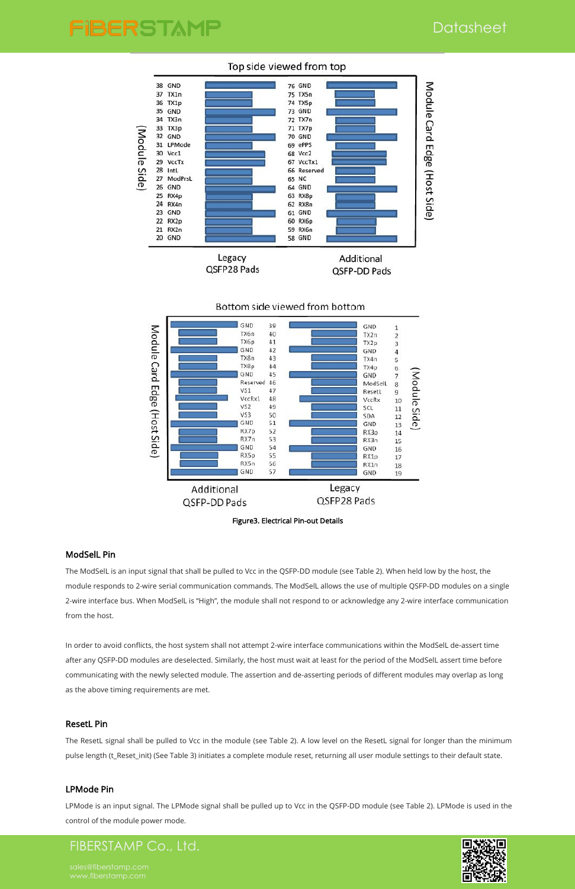## **Datasheet**

# FIBERSTAMP



### Top side viewed from top

## FIBERSTAMP Co., Ltd.





### ModSelL Pin

The ModSelL is an input signal that shall be pulled to Vcc in the QSFP-DD module (see Table 2). When held low by the host, the module responds to 2-wire serial communication commands. The ModSelL allows the use of multiple QSFP-DD modules on a single 2-wire interface bus. When ModSelL is "High", the module shall not respond to or acknowledge any 2-wire interface communication from the host.

In order to avoid conflicts, the host system shall not attempt 2-wire interface communications within the ModSelL de-assert time

after any QSFP-DD modules are deselected.Similarly, the host must wait at least for the period of the ModSelL assert time before communicating with the newly selected module. The assertion and de-asserting periods of different modules may overlap as long as the above timing requirements are met.

#### ResetL Pin

The ResetL signal shall be pulled to Vcc in the module (see Table 2). A low level on the ResetL signal for longer than the minimum pulse length (t\_Reset\_init) (See Table 3) initiates a complete module reset, returning all user module settings to their default state.

#### LPMode Pin

LPMode is an input signal. The LPMode signal shall be pulled up to Vcc in the QSFP-DD module (see Table 2). LPMode is used in the control of the module power mode.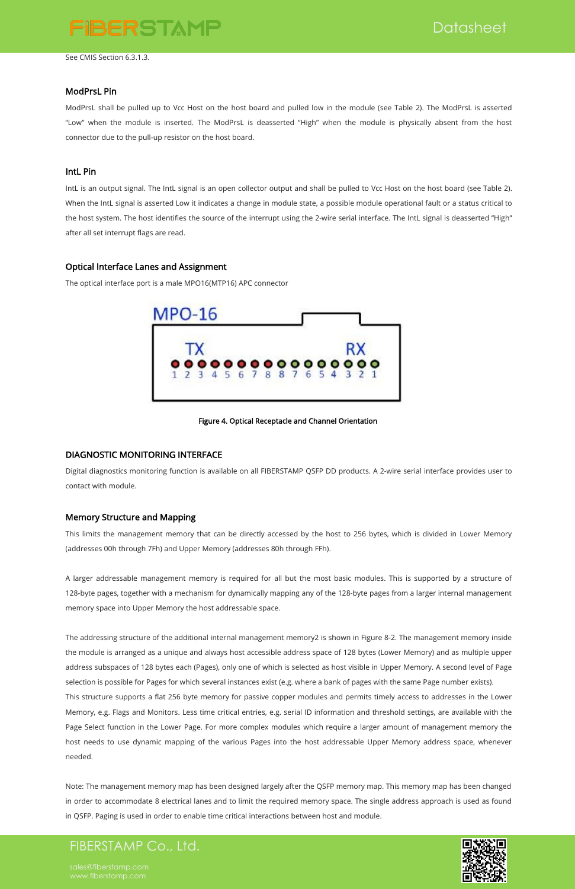**Datasheet** 

## FIBERSTAMP Co., Ltd.



See CMIS Section 6.3.1.3.

#### ModPrsL Pin

ModPrsL shall be pulled up to Vcc Host on the host board and pulled low in the module (see Table 2). The ModPrsL is asserted "Low" when the module is inserted. The ModPrsL is deasserted "High" when the module is physically absent from the host connector due to the pull-up resistor on the host board.

#### IntL Pin

IntL is an output signal. The IntL signal is an open collector output and shall be pulled to Vcc Host on the host board (see Table 2).<br>When the IntL signal is asserted Low it indicates a change in module state, a possible the host system. The host identifies the source of the interrupt using the 2-wire serial interface. The IntL signal is deasserted "High" after all set interrupt flags are read.

(addresses 00h through 7Fh) and Upper Memory (addresses 80h through FFh).<br>A larger addressable management memory is required for all but the most basic modules. This is supported by a structure of 128-byte pages, together with a mechanism for dynamically mapping any of the 128-byte pages from a larger internal management memory space into Upper Memory the host addressable space.

### Optical Interface Lanes and Assignment

The optical interface port is a male MPO16(MTP16) APC connector



#### Figure 4. Optical Receptacle and Channel Orientation

### DIAGNOSTIC MONITORING INTERFACE

Digital diagnostics monitoring function is available on all FIBERSTAMP QSFP DD products. A 2-wire serial interface provides user to contact with module.

### Memory Structure and Mapping

This limits the management memory that can be directly accessed by the host to 256 bytes, which is divided in Lower Memory

The addressing structure of the additional internal management memory2 is shown in Figure 8-2. The management memory inside the module is arranged as a unique and always host accessible address space of 128 bytes (Lower Memory) and as multiple upper address subspaces of 128 bytes each (Pages), only one of which is selected as host visible in Upper Memory. A second level of Page selection is possible for Pages for which several instances exist (e.g. where a bank of pages with the same Page number exists). This structure supports a flat 256 byte memory for passive copper modules and permits timely access to addresses in the Lower Memory, e.g. Flags and Monitors. Less time critical entries, e.g. serial ID information and threshold settings, are available with the Page Select function in the Lower Page. For more complex modules which require a larger amount of management memory the host needs to use dynamic mapping of the various Pages into the host addressable Upper Memory address space, whenever needed.

Note: The management memory map has been designed largely after the QSFP memory map. This memory map has been changed in order to accommodate 8 electrical lanes and to limit the required memory space. The single address approach is used as found in QSFP. Paging is used in order to enable time critical interactions between host and module.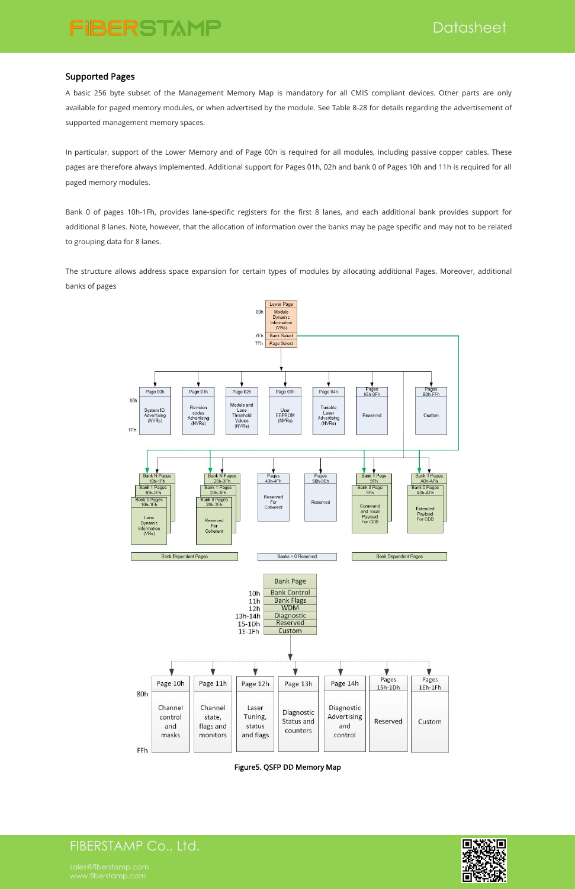FIBERSTAMP Co., Ltd.



### Supported Pages

A basic 256 byte subset of the Management Memory Map is mandatory for all CMIS compliant devices. Other parts are only available for paged memory modules, or when advertised by the module. See Table 8-28 for details regarding the advertisement of supported management memory spaces.

In particular, support of the Lower Memory and of Page 00h is required for all modules, including passive copper cables. These pages are therefore always implemented. Additional support for Pages 01h, 02h and bank 0 of Pages 10h and 11h is required for all paged memory modules.

Bank 0 of pages 10h-1Fh, provides lane-specific registers for the first 8 lanes, and each additional bank provides support for additional 8 lanes. Note, however, that the allocation of information over the banks may be page specific and may not to be related to grouping data for 8 lanes.

The structure allows address space expansion for certain types of modules by allocating additional Pages. Moreover, additional banks of pages



|     |                                    |                                            |                                         |                                      |                                             | Pages     | Pages   |
|-----|------------------------------------|--------------------------------------------|-----------------------------------------|--------------------------------------|---------------------------------------------|-----------|---------|
| 80h | Page 10h                           | Page 11h                                   | Page 12h                                | Page 13h                             | Page 14h                                    | $15h-1Dh$ | 1Eh-1Fh |
|     | Channel<br>control<br>and<br>masks | Channel<br>state,<br>flags and<br>monitors | Laser<br>Tuning,<br>status<br>and flags | Diagnostic<br>Status and<br>counters | Diagnostic<br>Advertising<br>and<br>control | Reserved  | Custom  |
| FFh |                                    |                                            |                                         |                                      |                                             |           |         |

Figure5. QSFP DD Memory Map